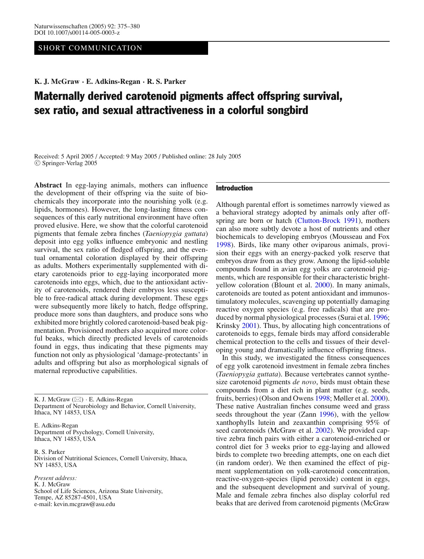# SHORT COMMUNICATION

**K. J. McGraw · E. Adkins-Regan · R. S. Parker**

# Maternally derived carotenoid pigments affect offspring survival, sex ratio, and sexual attractiveness in a colorful songbird

Received: 5 April 2005 / Accepted: 9 May 2005 / Published online: 28 July 2005 <sup>C</sup> Springer-Verlag 2005

**Abstract** In egg-laying animals, mothers can influence the development of their offspring via the suite of biochemicals they incorporate into the nourishing yolk (e.g. lipids, hormones). However, the long-lasting fitness consequences of this early nutritional environment have often proved elusive. Here, we show that the colorful carotenoid pigments that female zebra finches (*Taeniopygia guttata*) deposit into egg yolks influence embryonic and nestling survival, the sex ratio of fledged offspring, and the eventual ornamental coloration displayed by their offspring as adults. Mothers experimentally supplemented with dietary carotenoids prior to egg-laying incorporated more carotenoids into eggs, which, due to the antioxidant activity of carotenoids, rendered their embryos less susceptible to free-radical attack during development. These eggs were subsequently more likely to hatch, fledge offspring, produce more sons than daughters, and produce sons who exhibited more brightly colored carotenoid-based beak pigmentation. Provisioned mothers also acquired more colorful beaks, which directly predicted levels of carotenoids found in eggs, thus indicating that these pigments may function not only as physiological 'damage-protectants' in adults and offspring but also as morphological signals of maternal reproductive capabilities.

K. J. McGraw  $(\boxtimes) \cdot$  E. Adkins-Regan Department of Neurobiology and Behavior, Cornell University, Ithaca, NY 14853, USA

E. Adkins-Regan Department of Psychology, Cornell University, Ithaca, NY 14853, USA

R. S. Parker Division of Nutritional Sciences, Cornell University, Ithaca, NY 14853, USA

*Present address:* K. J. McGraw School of Life Sciences, Arizona State University, Tempe, AZ 85287-4501, USA e-mail: kevin.mcgraw@asu.edu

## Introduction

Although parental effort is sometimes narrowly viewed as a behavioral strategy adopted by animals only after off-spring are born or hatch [\(Clutton-Brock 1991\)](#page-4-0), mothers can also more subtly devote a host of nutrients and other biochemicals to developing embryos (Mousseau and Fox [1998\)](#page-4-1). Birds, like many other oviparous animals, provision their eggs with an energy-packed yolk reserve that embryos draw from as they grow. Among the lipid-soluble compounds found in avian egg yolks are carotenoid pigments, which are responsible for their characteristic brightyellow coloration (Blount et al. [2000\)](#page-4-2). In many animals, carotenoids are touted as potent antioxidant and immunostimulatory molecules, scavenging up potentially damaging reactive oxygen species (e.g. free radicals) that are produced by normal physiological processes (Surai et al. [1996;](#page-4-3) Krinsky [2001\)](#page-4-4). Thus, by allocating high concentrations of carotenoids to eggs, female birds may afford considerable chemical protection to the cells and tissues of their developing young and dramatically influence offspring fitness.

In this study, we investigated the fitness consequences of egg yolk carotenoid investment in female zebra finches (*Taeniopygia guttata*). Because vertebrates cannot synthesize carotenoid pigments *de novo*, birds must obtain these compounds from a diet rich in plant matter (e.g. seeds, fruits, berries) (Olson and Owens [1998;](#page-4-5) Møller et al. [2000\)](#page-4-6). These native Australian finches consume weed and grass seeds throughout the year (Zann [1996\)](#page-5-0), with the yellow xanthophylls lutein and zeaxanthin comprising 95% of seed carotenoids (McGraw et al. [2002\)](#page-4-7). We provided captive zebra finch pairs with either a carotenoid-enriched or control diet for 3 weeks prior to egg-laying and allowed birds to complete two breeding attempts, one on each diet (in random order). We then examined the effect of pigment supplementation on yolk-carotenoid concentration, reactive-oxygen-species (lipid peroxide) content in eggs, and the subsequent development and survival of young. Male and female zebra finches also display colorful red beaks that are derived from carotenoid pigments (McGraw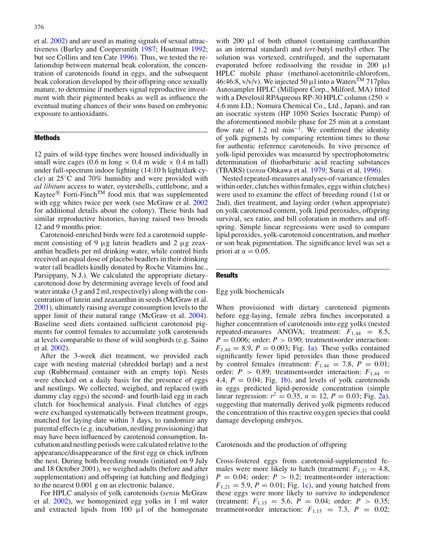et al. [2002\)](#page-4-7) and are used as mating signals of sexual attractiveness (Burley and Coopersmith [1987;](#page-4-8) Houtman [1992;](#page-4-9) but see Collins and ten Cate [1996\)](#page-4-10). Thus, we tested the relationship between maternal beak coloration, the concentration of carotenoids found in eggs, and the subsequent beak coloration developed by their offspring once sexually mature, to determine if mothers signal reproductive investment with their pigmented beaks as well as influence the eventual mating chances of their sons based on embryonic exposure to antioxidants.

# Methods

12 pairs of wild-type finches were housed individually in small wire cages (0.6 m long  $\times$  0.4 m wide  $\times$  0.4 m tall) under full-spectrum indoor lighting (14:10 h light/dark cycle) at 25◦C and 70% humidity and were provided with *ad libitum* access to water, oystershells, cuttlebone, and a Kaytee<sup>®</sup> Forti-Finch<sup>TM</sup> food mix that was supplemented with egg whites twice per week (see McGraw et al. [2002](#page-4-7) for additional details about the colony). These birds had similar reproductive histories, having raised two broods 12 and 9 months prior.

Carotenoid-enriched birds were fed a carotenoid supplement consisting of 9  $\mu$ g lutein beadlets and 2  $\mu$ g zeaxanthin beadlets per ml drinking water, while control birds received an equal dose of placebo beadlets in their drinking water (all beadlets kindly donated by Roche Vitamins Inc., Parsippany, N.J.). We calculated the appropriate dietarycarotenoid dose by determining average levels of food and water intake (3 g and 2 ml, respectively) along with the concentration of lutein and zeaxanthin in seeds (McGraw et al. [2001\)](#page-4-11), ultimately raising average consumption levels to the upper limit of their natural range (McGraw et al. [2004\)](#page-4-12). Baseline seed diets contained sufficient carotenoid pigments for control females to accumulate yolk carotenoids at levels comparable to those of wild songbirds (e.g. Saino et al. [2002\)](#page-4-13).

After the 3-week diet treatment, we provided each cage with nesting material (shredded burlap) and a nest cup (Rubbermaid container with an empty top). Nests were checked on a daily basis for the presence of eggs and nestlings. We collected, weighed, and replaced (with dummy clay eggs) the second- and fourth-laid egg in each clutch for biochemical analysis. Final clutches of eggs were exchanged systematically between treatment groups, matched for laying-date within 3 days, to randomize any parental effects (e.g. incubation, nestling provisioning) that may have been influenced by carotenoid consumption. Incubation and nestling periods were calculated relative to the appearance/disappearance of the first egg or chick in/from the nest. During both breeding rounds (initiated on 9 July and 18 October 2001), we weighed adults (before and after supplementation) and offspring (at hatching and fledging) to the nearest 0.001 g on an electronic balance.

For HPLC analysis of yolk carotenoids (*sensu* McGraw et al. [2002\)](#page-4-7), we homogenized egg yolks in 1 ml water and extracted lipids from  $100 \mu l$  of the homogenate

with  $200 \mu l$  of both ethanol (containing canthaxanthin as an internal standard) and *tert-*butyl methyl ether. The solution was vortexed, centrifuged, and the supernatant evaporated before redissolving the residue in 200  $\mu$ l HPLC mobile phase (methanol-acetonitrile-chlorofom, 46:46:8,  $v/v/v$ ). We injected 50  $\mu$ l into a Waters<sup>TM</sup> 717plus Autosampler HPLC (Millipore Corp., Milford, MA) fitted with a Develosil RPA queous RP-30 HPLC column (250  $\times$ 4.6 mm I.D.; Nomura Chemical Co., Ltd., Japan), and ran an isocratic system (HP 1050 Series Isocratic Pump) of the aforementioned mobile phase for 25 min at a constant flow rate of 1.2 ml min<sup>-1</sup>. We confirmed the identity of yolk pigments by comparing retention times to those for authentic reference carotenoids. In vivo presence of yolk-lipid peroxides was measured by spectrophotometric determination of thiobarbituric acid reacting substances (TBARS) (*sensu* Ohkawa et al. [1979;](#page-4-14) Surai et al. [1996\)](#page-4-3).

Nested repeated-measures analyses-of-variance (females within order, clutches within females, eggs within clutches) were used to examine the effect of breeding round (1st or 2nd), diet treatment, and laying order (when appropriate) on yolk carotenoid content, yolk lipid peroxides, offspring survival, sex ratio, and bill coloration in mothers and offspring. Simple linear regressions were used to compare lipid peroxides, yolk-carotenoid concentration, and mother or son beak pigmentation. The significance level was set a priori at  $\alpha = 0.05$ .

#### **Results**

## Egg yolk biochemicals

When provisioned with dietary carotenoid pigments before egg-laying, female zebra finches incorporated a higher concentration of carotenoids into egg yolks (nested repeated-measures ANOVA; treatment:  $F_{1,44} = 8.5$ , *P* = 0.006; order: *P* > 0.90; treatment∗order interaction:  $F_{1,44} = 8.9, P = 0.003$ ; Fig. [1a\)](#page-2-0). These yolks contained significantly fewer lipid peroxides than those produced by control females (treatment:  $F_{1,44} = 7.8$ ,  $P = 0.01$ ; order:  $P > 0.89$ ; treatment∗order interaction:  $F_{1,44}$  = 4.4,  $P = 0.04$ ; Fig. [1b\)](#page-2-0), and levels of yolk carotenoids in eggs predicted lipid-peroxide concentration (simple linear regression:  $r^2 = 0.35$ ,  $n = 12$ ,  $P = 0.03$ ; Fig. [2a\)](#page-3-0), suggesting that maternally derived yolk pigments reduced the concentration of this reactive oxygen species that could damage developing embryos.

Carotenoids and the production of offspring

Cross-fostered eggs from carotenoid-supplemented females were more likely to hatch (treatment:  $F_{1,21} = 4.8$ , *P* = 0.04; order: *P* > 0.2; treatment∗order interaction:  $F_{1,21} = 5.9, P = 0.01$ ; Fig. [1c\)](#page-2-0), and young hatched from these eggs were more likely to survive to independence (treatment:  $F_{1,15} = 5.6$ ,  $P = 0.04$ ; order:  $P > 0.35$ ; treatment∗order interaction:  $F_{1,15} = 7.3$ ,  $P = 0.02$ ;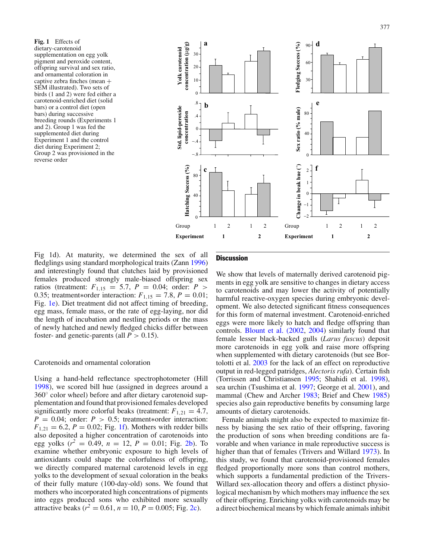<span id="page-2-0"></span>**Fig. 1** Effects of dietary-carotenoid supplementation on egg yolk pigment and peroxide content, offspring survival and sex ratio, and ornamental coloration in captive zebra finches (mean + SEM illustrated). Two sets of birds (1 and 2) were fed either a carotenoid-enriched diet (solid bars) or a control diet (open bars) during successive breeding rounds (Experiments 1 and 2). Group 1 was fed the supplemented diet during Experiment 1 and the control diet during Experiment 2; Group 2 was provisioned in the reverse order



Fig 1d). At maturity, we determined the sex of all fledglings using standard morphological traits (Zann [1996\)](#page-5-0) and interestingly found that clutches laid by provisioned females produced strongly male-biased offspring sex ratios (treatment:  $F_{1,15} = 5.7, P = 0.04$ ; order:  $P >$ 0.35; treatment∗order interaction:  $F_{1,15} = 7.8$ ,  $P = 0.01$ ; Fig. [1e\)](#page-2-0). Diet treatment did not affect timing of breeding, egg mass, female mass, or the rate of egg-laying, nor did the length of incubation and nestling periods or the mass of newly hatched and newly fledged chicks differ between foster- and genetic-parents (all  $P > 0.15$ ).

### Carotenoids and ornamental coloration

Using a hand-held reflectance spectrophotometer (Hill [1998\)](#page-4-15), we scored bill hue (assigned in degrees around a 360◦ color wheel) before and after dietary carotenoid supplementation and found that provisioned females developed significantly more colorful beaks (treatment:  $F_{1,21} = 4.7$ , *P* = 0.04; order: *P* > 0.5; treatment∗order interaction:  $F_{1,21} = 6.2, P = 0.02$ ; Fig. [1f\)](#page-2-0). Mothers with redder bills also deposited a higher concentration of carotenoids into egg yolks ( $r^2 = 0.49$ ,  $n = 12$ ,  $P = 0.01$ ; Fig. [2b\)](#page-3-0). To examine whether embryonic exposure to high levels of antioxidants could shape the colorfulness of offspring, we directly compared maternal carotenoid levels in egg yolks to the development of sexual coloration in the beaks of their fully mature (100-day-old) sons. We found that mothers who incorporated high concentrations of pigments into eggs produced sons who exhibited more sexually attractive beaks ( $r^2 = 0.61$ ,  $n = 10$ ,  $P = 0.005$ ; Fig. [2c\)](#page-3-0).

# **Discussion**

We show that levels of maternally derived carotenoid pigments in egg yolk are sensitive to changes in dietary access to carotenoids and may lower the activity of potentially harmful reactive-oxygen species during embryonic development. We also detected significant fitness consequences for this form of maternal investment. Carotenoid-enriched eggs were more likely to hatch and fledge offspring than controls. [Blount et al. \(2002,](#page-4-16) [2004\)](#page-4-17) similarly found that female lesser black-backed gulls (*Larus fuscus*) deposit more carotenoids in egg yolk and raise more offspring when supplemented with dietary carotenoids (but see Bortolotti et al. [2003](#page-4-18) for the lack of an effect on reproductive output in red-legged patridges, *Alectoris rufa*). Certain fish (Torrissen and Christiansen [1995;](#page-4-19) Shahidi et al. [1998\)](#page-4-20), sea urchin (Tsushima et al. [1997;](#page-5-1) George et al. [2001\)](#page-4-21), and mammal (Chew and Archer [1983;](#page-4-22) Brief and Chew [1985\)](#page-4-23) species also gain reproductive benefits by consuming large amounts of dietary carotenoids.

Female animals might also be expected to maximize fitness by biasing the sex ratio of their offspring, favoring the production of sons when breeding conditions are favorable and when variance in male reproductive success is higher than that of females (Trivers and Willard [1973\)](#page-5-2). In this study, we found that carotenoid-provisioned females fledged proportionally more sons than control mothers, which supports a fundamental prediction of the Trivers-Willard sex-allocation theory and offers a distinct physiological mechanism by which mothers may influence the sex of their offspring. Enriching yolks with carotenoids may be a direct biochemical means by which female animals inhibit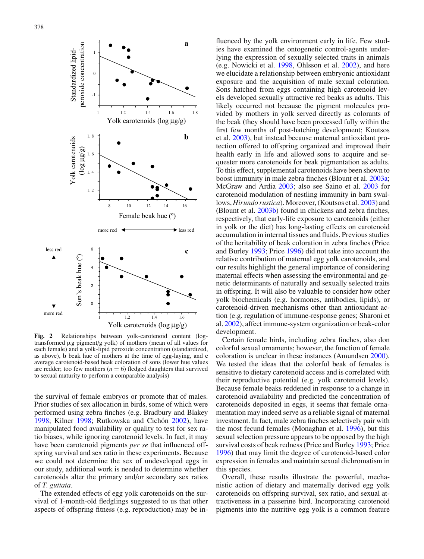<span id="page-3-0"></span>

**Fig. 2** Relationships between yolk-carotenoid content (logtransformed µg pigment/g yolk) of mothers (mean of all values for each female) and **a** yolk-lipid peroxide concentration (standardized, as above), **b** beak hue of mothers at the time of egg-laying, and **c** average carotenoid-based beak coloration of sons (lower hue values are redder; too few mothers  $(n = 6)$  fledged daughters that survived to sexual maturity to perform a comparable analysis)

the survival of female embryos or promote that of males. Prior studies of sex allocation in birds, some of which were performed using zebra finches (e.g. Bradbury and Blakey [1998;](#page-4-25) Kilner 1998; Rutkowska and Cichón  $2002$ ), have manipulated food availability or quality to test for sex ratio biases, while ignoring carotenoid levels. In fact, it may have been carotenoid pigments *per se* that influenced offspring survival and sex ratio in these experiments. Because we could not determine the sex of undeveloped eggs in our study, additional work is needed to determine whether carotenoids alter the primary and/or secondary sex ratios of *T. guttata*.

The extended effects of egg yolk carotenoids on the survival of 1-month-old fledglings suggested to us that other aspects of offspring fitness (e.g. reproduction) may be in-

fluenced by the yolk environment early in life. Few studies have examined the ontogenetic control-agents underlying the expression of sexually selected traits in animals (e.g. Nowicki et al. [1998,](#page-4-27) Ohlsson et al. [2002\)](#page-4-28), and here we elucidate a relationship between embryonic antioxidant exposure and the acquisition of male sexual coloration. Sons hatched from eggs containing high carotenoid levels developed sexually attractive red beaks as adults. This likely occurred not because the pigment molecules provided by mothers in yolk served directly as colorants of the beak (they should have been processed fully within the first few months of post-hatching development; Koutsos et al. [2003\)](#page-4-29), but instead because maternal antioxidant protection offered to offspring organized and improved their health early in life and allowed sons to acquire and sequester more carotenoids for beak pigmentation as adults. To this effect, supplemental carotenoids have been shown to boost immunity in male zebra finches (Blount et al. [2003a;](#page-4-30) McGraw and Ardia [2003;](#page-4-31) also see Saino et al. [2003](#page-4-32) for carotenoid modulation of nestling immunity in barn swallows, *Hirundo rustica*). Moreover, (Koutsos et al. [2003\)](#page-4-29) and (Blount et al. [2003b\)](#page-4-33) found in chickens and zebra finches, respectively, that early-life exposure to carotenoids (either in yolk or the diet) has long-lasting effects on carotenoid accumulation in internal tissues and fluids. Previous studies of the heritability of beak coloration in zebra finches (Price and Burley [1993;](#page-4-34) Price [1996\)](#page-4-35) did not take into account the relative contribution of maternal egg yolk carotenoids, and our results highlight the general importance of considering maternal effects when assessing the environmental and genetic determinants of naturally and sexually selected traits in offspring. It will also be valuable to consider how other yolk biochemicals (e.g. hormones, antibodies, lipids), or carotenoid-driven mechanisms other than antioxidant action (e.g. regulation of immune-response genes; Sharoni et al. [2002\)](#page-4-36), affect immune-system organization or beak-color development.

Certain female birds, including zebra finches, also don colorful sexual ornaments; however, the function of female coloration is unclear in these instances (Amundsen [2000\)](#page-4-37). We tested the ideas that the colorful beak of females is sensitive to dietary carotenoid access and is correlated with their reproductive potential (e.g. yolk carotenoid levels). Because female beaks reddened in response to a change in carotenoid availability and predicted the concentration of carotenoids deposited in eggs, it seems that female ornamentation may indeed serve as a reliable signal of maternal investment. In fact, male zebra finches selectively pair with the most fecund females (Monaghan et al. [1996\)](#page-4-38), but this sexual selection pressure appears to be opposed by the high survival costs of beak redness (Price and Burley [1993;](#page-4-34) Price [1996\)](#page-4-35) that may limit the degree of carotenoid-based color expression in females and maintain sexual dichromatism in this species.

Overall, these results illustrate the powerful, mechanistic action of dietary and maternally derived egg yolk carotenoids on offspring survival, sex ratio, and sexual attractiveness in a passerine bird. Incorporating carotenoid pigments into the nutritive egg yolk is a common feature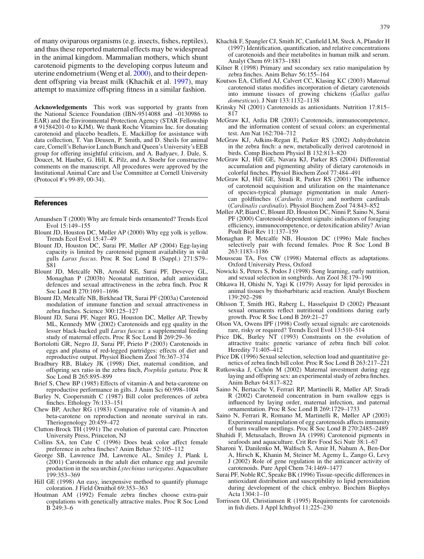of many oviparous organisms (e.g. insects, fishes, reptiles), and thus these reported maternal effects may be widespread in the animal kingdom. Mammalian mothers, which shunt carotenoid pigments to the developing corpus luteum and uterine endometrium (Weng et al. [2000\)](#page-5-3), and to their dependent offspring via breast milk (Khachik et al. [1997\)](#page-4-39), may attempt to maximize offspring fitness in a similar fashion.

**Acknowledgements** This work was supported by grants from the National Science Foundation (IBN-9514088 and –0130986 to EAR) and the Environmental Protection Agency (STAR Fellowship # 91584201-0 to KJM). We thank Roche Vitamins Inc. for donating carotenoid and placebo beadlets, E. Mackillop for assistance with data collection, T. Van Deusen, P. Smith, and D. Sheils for animal care, Cornell's Behavior Lunch Bunch and Queen's University's EEB group for offering insightful criticism, and A. Badyaev, J. Dale, S. Doucet, M. Hauber, G. Hill, K. Pilz, and A. Stoehr for constructive comments on the manuscript. All procedures were approved by the Institutional Animal Care and Use Committee at Cornell University (Protocol #'s 99-89, 00-34).

#### References

- Amundsen T (2000) Why are female birds ornamented? Trends Ecol Evol 15:149–155
- <span id="page-4-37"></span>Blount JD, Houston DC, Møller AP (2000) Why egg yolk is yellow. Trends Ecol Evol 15:47–49
- <span id="page-4-2"></span>Blount JD, Houston DC, Surai PF, Møller AP (2004) Egg-laying capacity is limited by carotenoid pigment availability in wild gulls *Larus fuscus*. Proc R Soc Lond B (Suppl.) 271:S79– S81
- <span id="page-4-17"></span>Blount JD, Metcalfe NB, Arnold KE, Surai PF, Devevey GL, Monaghan P (2003b) Neonatal nutrition, adult antioxidant defences and sexual attractiveness in the zebra finch. Proc R Soc Lond B 270:1691–1696
- <span id="page-4-33"></span>Blount JD, Metcalfe NB, Birkhead TR, Surai PF (2003a) Carotenoid modulation of immune function and sexual attractiveness in zebra finches. Science 300:125–127
- <span id="page-4-30"></span>Blount JD, Surai PF, Nager RG, Houston DC, Møller AP, Trewby ML, Kennedy MW (2002) Carotenoids and egg quality in the lesser black-backed gull *Larus fuscus*: a supplemental feeding study of maternal effects. Proc R Soc Lond B 269:29–36
- Bortolotti GR, Negro JJ, Surai PF, Prieto P (2003) Carotenoids in eggs and plasma of red-legged partridges: effects of diet and reproductive output. Physiol Biochem Zool 76:367–374
- Bradbury RB, Blakey JK (1998) Diet, maternal condition, and offspring sex ratio in the zebra finch, *Poephila guttata*. Proc R Soc Lond B 265:895–899
- <span id="page-4-24"></span>Brief S, Chew BP (1985) Effects of vitamin-A and beta-carotene on reproductive performance in gilts. J Anim Sci 60:998–1004
- Burley N, Coopersmith C (1987) Bill color preferences of zebra finches. Ethology 76:133–151
- <span id="page-4-8"></span>Chew BP, Archer RG (1983) Comparative role of vitamin-A and beta-carotene on reproduction and neonate survival in rats. Theriogenology 20:459–472
- <span id="page-4-22"></span>Clutton-Brock TH (1991) The evolution of parental care. Princeton University Press, Princeton, NJ
- <span id="page-4-0"></span>Collins SA, ten Cate C (1996) Does beak color affect female preference in zebra finches? Anim Behav 52:105–112
- George SB, Lawrence JM, Lawrence AL, Smiley J, Plank L (2001) Carotenoids in the adult diet enhance egg and juvenile production in the sea urchin *Lytechinus variegatus*. Aquaculture 199:353–369
- <span id="page-4-21"></span>Hill GE (1998) An easy, inexpensive method to quantify plumage coloration. J Field Ornithol 69:353–363
- <span id="page-4-15"></span><span id="page-4-9"></span>Houtman AM (1992) Female zebra finches choose extra-pair copulations with genetically attractive males. Proc R Soc Lond B 249:3–6
- Khachik F, Spangler CJ, Smith JC, Canfield LM, Steck A, Pfander H (1997) Identification, quantification, and relative concentrations of carotenoids and their metabolites in human milk and serum. Analyt Chem 69:1873–1881
- <span id="page-4-39"></span>Kilner R (1998) Primary and secondary sex ratio manipulation by zebra finches. Anim Behav 56:155–164
- <span id="page-4-25"></span>Koutsos EA, Clifford AJ, Calvert CC, Klasing KC (2003) Maternal carotenoid status modifies incorporation of dietary carotenoids into immune tissues of growing chickens (*Gallus gallus domesticus*). J Nutr 133:1132–1138
- <span id="page-4-29"></span>Krinsky NI (2001) Carotenoids as antioxidants. Nutrition 17:815– 817
- <span id="page-4-4"></span>McGraw KJ, Ardia DR (2003) Carotenoids, immunocompetence, and the information content of sexual colors: an experimental test. Am Nat 162:704–712
- <span id="page-4-31"></span>McGraw KJ, Adkins-Regan E, Parker RS (2002) Anhydrolutein in the zebra finch: a new, metabolically derived carotenoid in birds. Comp Biochem Physiol B 132:813–820
- <span id="page-4-7"></span>McGraw KJ, Hill GE, Navara KJ, Parker RS (2004) Differential accumulation and pigmenting ability of dietary carotenoids in colorful finches. Physiol Biochem Zool 77:484–491
- <span id="page-4-12"></span>McGraw KJ, Hill GE, Stradi R, Parker RS (2001) The influence of carotenoid acquisition and utilization on the maintenance of species-typical plumage pigmentation in male American goldfinches (*Carduelis tristis*) and northern cardinals (*Cardinalis cardinalis*). Physiol Biochem Zool 74:843–852
- <span id="page-4-11"></span>Møller AP, Biard C, Blount JD, Houston DC, Ninni P, Saino N, Surai PF (2000) Carotenoid-dependent signals: indicators of foraging efficiency, immunocompetence, or detoxification ability? Avian Poult Biol Rev 11:137–159
- <span id="page-4-6"></span>Monaghan P, Metcalfe NB, Houston DC (1996) Male finches selectively pair with fecund females. Proc R Soc Lond B 263:1183–1186
- <span id="page-4-38"></span>Mousseau TA, Fox CW (1998) Maternal effects as adaptations. Oxford University Press, Oxford
- <span id="page-4-1"></span>Nowicki S, Peters S, Podos J (1998) Song learning, early nutrition, and sexual selection in songbirds. Am Zool 38:179–190
- <span id="page-4-27"></span>Ohkawa H, Ohishi N, Yagi K (1979) Assay for lipid peroxides in animal tissues by thiobarbituric acid reaction. Analyt Biochem 139:292–298
- <span id="page-4-14"></span>Ohlsson T, Smith HG, Raberg L, Hasselquist D (2002) Pheasant sexual ornaments reflect nutritional conditions during early growth. Proc R Soc Lond B 269:21–27
- <span id="page-4-28"></span>Olson VA, Owens IPF (1998) Costly sexual signals: are carotenoids rare, risky or required? Trends Ecol Evol 13:510–514
- <span id="page-4-16"></span><span id="page-4-5"></span>Price DK, Burley NT (1993) Constraints on the evolution of attractive traits: genetic variance of zebra finch bill color. Heredity 71:405–412
- <span id="page-4-34"></span>Price DK (1996) Sexual selection, selection load and quantitative genetics of zebra finch bill color. Proc R Soc Lond B 263:217–221
- <span id="page-4-35"></span><span id="page-4-18"></span>Rutkowska J, Cichón M (2002) Maternal investment during egg laying and offspring sex: an experimental study of zebra finches. Anim Behav 64:817–822
- <span id="page-4-26"></span><span id="page-4-23"></span>Saino N, Bertacche V, Ferrari RP, Martinelli R, Møller AP, Stradi R (2002) Carotenoid concentration in barn swallow eggs is influenced by laying order, maternal infection, and paternal ornamentation. Proc R Soc Lond B 269:1729–1733
- <span id="page-4-13"></span>Saino N, Ferrari R, Romano M, Martinelli R, Møller AP (2003) Experimental manipulation of egg carotenoids affects immunity of barn swallow nestlings. Proc R Soc Lond B 270:2485–2489
- <span id="page-4-32"></span>Shahidi F, Metusalach, Brown JA (1998) Carotenoid pigments in seafoods and aquaculture. Crit Rev Food Sci Nutr 38:1–67
- <span id="page-4-20"></span><span id="page-4-10"></span>Sharoni Y, Danilenko M, Walfisch S, Amir H, Nahum A, Ben-Dor A, Hirsch K, Khanin M, Steiner M, Agemy L, Zango G, Levy J (2002) Role of gene regulation in the anticancer activity of carotenoids. Pure Appl Chem 74:1469–1477
- <span id="page-4-36"></span>Surai PF, Noble RC, Speake BK (1996) Tissue-specific differences in antioxidant distribution and susceptibility to lipid peroxidation during development of the chick embryo. Biochim Biophys Acta 1304:1–10
- <span id="page-4-19"></span><span id="page-4-3"></span>Torrissen OJ, Christiansen R (1995) Requirements for carotenoids in fish diets. J Appl Ichthyol 11:225–230